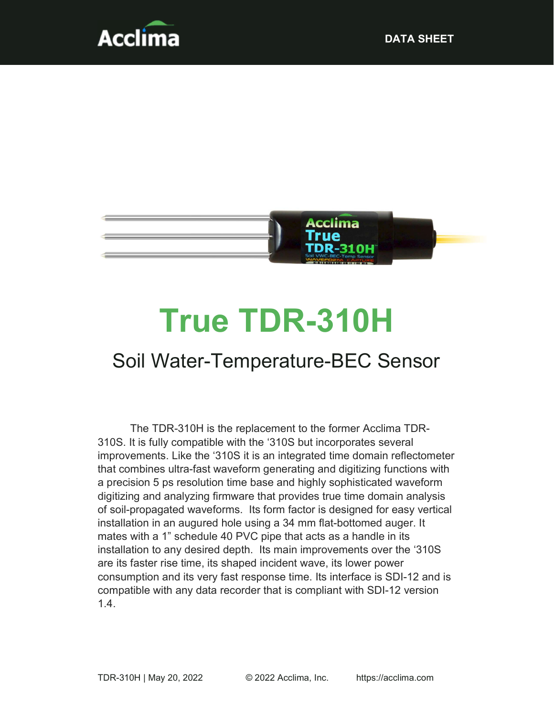



# True TDR-310H

# Soil Water-Temperature-BEC Sensor

The TDR-310H is the replacement to the former Acclima TDR-310S. It is fully compatible with the '310S but incorporates several improvements. Like the '310S it is an integrated time domain reflectometer that combines ultra-fast waveform generating and digitizing functions with a precision 5 ps resolution time base and highly sophisticated waveform digitizing and analyzing firmware that provides true time domain analysis of soil-propagated waveforms. Its form factor is designed for easy vertical installation in an augured hole using a 34 mm flat-bottomed auger. It mates with a 1" schedule 40 PVC pipe that acts as a handle in its installation to any desired depth. Its main improvements over the '310S are its faster rise time, its shaped incident wave, its lower power consumption and its very fast response time. Its interface is SDI-12 and is compatible with any data recorder that is compliant with SDI-12 version 1.4.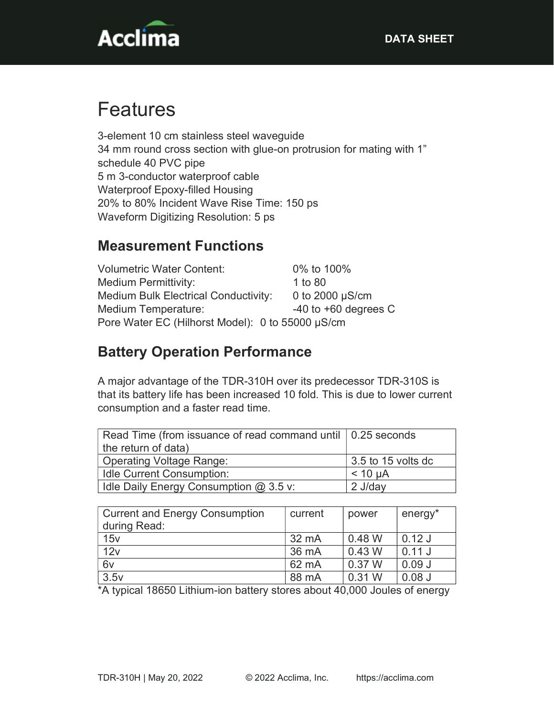

# Features

3-element 10 cm stainless steel waveguide 34 mm round cross section with glue-on protrusion for mating with 1" schedule 40 PVC pipe 5 m 3-conductor waterproof cable Waterproof Epoxy-filled Housing 20% to 80% Incident Wave Rise Time: 150 ps Waveform Digitizing Resolution: 5 ps

#### Measurement Functions

Volumetric Water Content: 0% to 100% Medium Permittivity: 1 to 80 Medium Bulk Electrical Conductivity: 0 to 2000 µS/cm Medium Temperature:  $-40$  to +60 degrees C Pore Water EC (Hilhorst Model): 0 to 55000 µS/cm

### Battery Operation Performance

A major advantage of the TDR-310H over its predecessor TDR-310S is that its battery life has been increased 10 fold. This is due to lower current consumption and a faster read time.

| Read Time (from issuance of read command until   0.25 seconds |                    |
|---------------------------------------------------------------|--------------------|
| the return of data)                                           |                    |
| <b>Operating Voltage Range:</b>                               | 3.5 to 15 volts dc |
| Idle Current Consumption:                                     | $< 10 \mu A$       |
| Idle Daily Energy Consumption $@3.5$ v:                       | $2$ J/day          |

| <b>Current and Energy Consumption</b> | current | power    | $energy*$ |
|---------------------------------------|---------|----------|-----------|
| during Read:                          |         |          |           |
| 15v                                   | 32 mA   | 0.48 W   | $0.12$ J  |
| 12v                                   | 36 mA   | 0.43 W   | 0.11 J    |
| 6v                                    | 62 mA   | 0.37 W   | 0.09J     |
| 3.5v                                  | 88 mA   | $0.31$ W | $0.08$ J  |

\*A typical 18650 Lithium-ion battery stores about 40,000 Joules of energy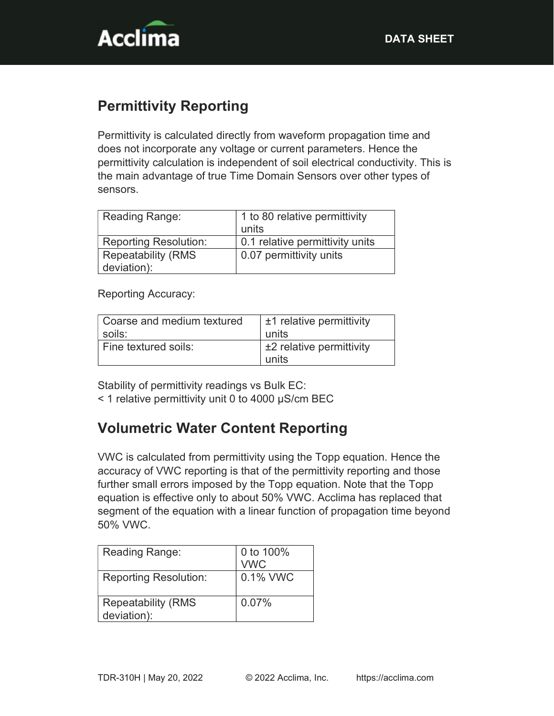

# Permittivity Reporting

Permittivity is calculated directly from waveform propagation time and does not incorporate any voltage or current parameters. Hence the permittivity calculation is independent of soil electrical conductivity. This is the main advantage of true Time Domain Sensors over other types of sensors.

| Reading Range:               | 1 to 80 relative permittivity   |
|------------------------------|---------------------------------|
|                              | units                           |
| <b>Reporting Resolution:</b> | 0.1 relative permittivity units |
| <b>Repeatability (RMS</b>    | 0.07 permittivity units         |
| deviation):                  |                                 |

Reporting Accuracy:

| Coarse and medium textured | $\pm$ 1 relative permittivity |
|----------------------------|-------------------------------|
| soils:                     | units                         |
| Fine textured soils:       | ±2 relative permittivity      |
|                            | units                         |

Stability of permittivity readings vs Bulk EC:

< 1 relative permittivity unit 0 to 4000 µS/cm BEC

## Volumetric Water Content Reporting

VWC is calculated from permittivity using the Topp equation. Hence the accuracy of VWC reporting is that of the permittivity reporting and those further small errors imposed by the Topp equation. Note that the Topp equation is effective only to about 50% VWC. Acclima has replaced that segment of the equation with a linear function of propagation time beyond 50% VWC.

| Reading Range:                            | 0 to 100%<br><b>VWC</b> |
|-------------------------------------------|-------------------------|
| <b>Reporting Resolution:</b>              | 0.1% VWC                |
| <b>Repeatability (RMS)</b><br>deviation): | 0.07%                   |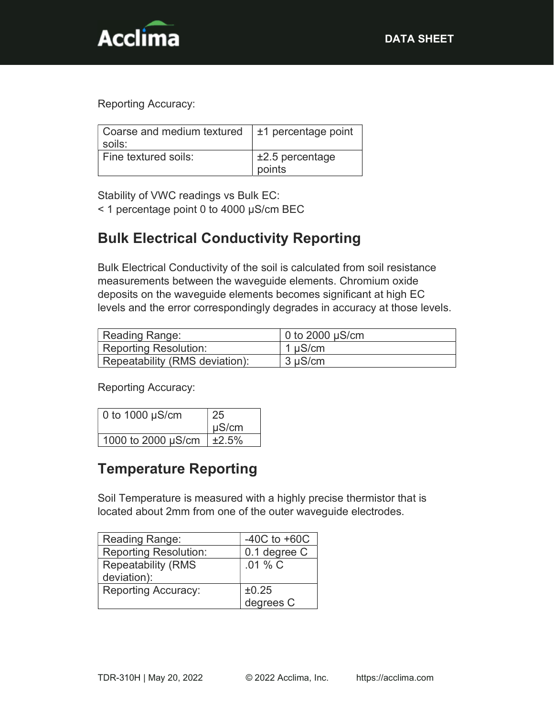

Reporting Accuracy:

| Coarse and medium textured<br>soils: | $\pm$ 1 percentage point  |
|--------------------------------------|---------------------------|
| Fine textured soils:                 | ±2.5 percentage<br>points |

Stability of VWC readings vs Bulk EC:

< 1 percentage point 0 to 4000 µS/cm BEC

#### Bulk Electrical Conductivity Reporting

Bulk Electrical Conductivity of the soil is calculated from soil resistance measurements between the waveguide elements. Chromium oxide deposits on the waveguide elements becomes significant at high EC levels and the error correspondingly degrades in accuracy at those levels.

| Reading Range:                 | 0 to 2000 $\mu$ S/cm |
|--------------------------------|----------------------|
| <b>Reporting Resolution:</b>   | 1 µS/cm              |
| Repeatability (RMS deviation): | $3 \mu S/cm$         |

Reporting Accuracy:

| 0 to $1000 \mu S/cm$ | 25<br>$\mu$ S/cm |
|----------------------|------------------|
|                      |                  |
| 1000 to 2000 µS/cm   | ±2.5%            |

#### Temperature Reporting

Soil Temperature is measured with a highly precise thermistor that is located about 2mm from one of the outer waveguide electrodes.

| Reading Range:               | $-40C$ to $+60C$ |
|------------------------------|------------------|
| <b>Reporting Resolution:</b> | 0.1 degree C     |
| <b>Repeatability (RMS</b>    | $.01%$ C         |
| deviation):                  |                  |
| <b>Reporting Accuracy:</b>   | ±0.25            |
|                              | degrees C        |